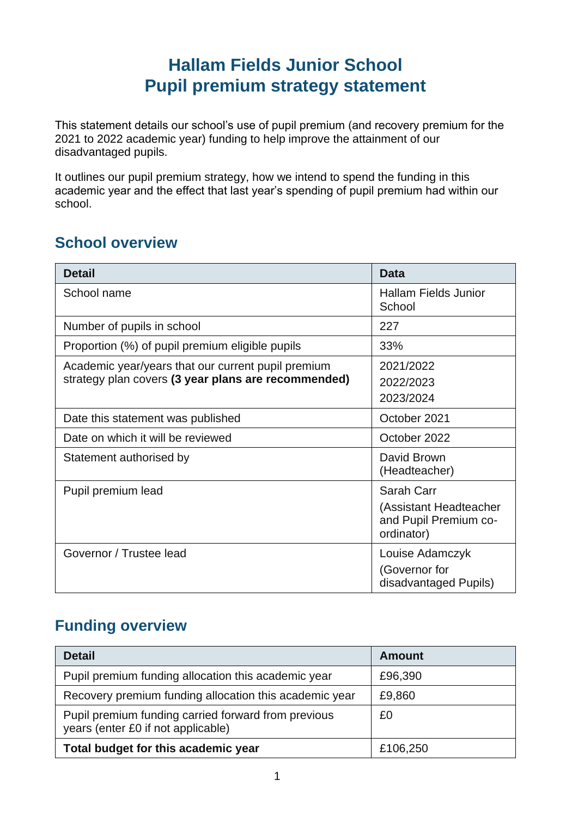## **Hallam Fields Junior School Pupil premium strategy statement**

This statement details our school's use of pupil premium (and recovery premium for the 2021 to 2022 academic year) funding to help improve the attainment of our disadvantaged pupils.

It outlines our pupil premium strategy, how we intend to spend the funding in this academic year and the effect that last year's spending of pupil premium had within our school.

### **School overview**

| <b>Detail</b>                                                                                             | <b>Data</b>                                                                 |  |
|-----------------------------------------------------------------------------------------------------------|-----------------------------------------------------------------------------|--|
| School name                                                                                               | <b>Hallam Fields Junior</b><br>School                                       |  |
| Number of pupils in school                                                                                | 227                                                                         |  |
| Proportion (%) of pupil premium eligible pupils                                                           | 33%                                                                         |  |
| Academic year/years that our current pupil premium<br>strategy plan covers (3 year plans are recommended) | 2021/2022<br>2022/2023<br>2023/2024                                         |  |
| Date this statement was published                                                                         | October 2021                                                                |  |
| Date on which it will be reviewed                                                                         | October 2022                                                                |  |
| Statement authorised by                                                                                   | David Brown<br>(Headteacher)                                                |  |
| Pupil premium lead                                                                                        | Sarah Carr<br>(Assistant Headteacher<br>and Pupil Premium co-<br>ordinator) |  |
| Governor / Trustee lead                                                                                   | Louise Adamczyk<br>(Governor for<br>disadvantaged Pupils)                   |  |

### **Funding overview**

| <b>Detail</b>                                                                             | <b>Amount</b> |
|-------------------------------------------------------------------------------------------|---------------|
| Pupil premium funding allocation this academic year                                       | £96,390       |
| Recovery premium funding allocation this academic year                                    | £9,860        |
| Pupil premium funding carried forward from previous<br>years (enter £0 if not applicable) | £0            |
| Total budget for this academic year                                                       | £106,250      |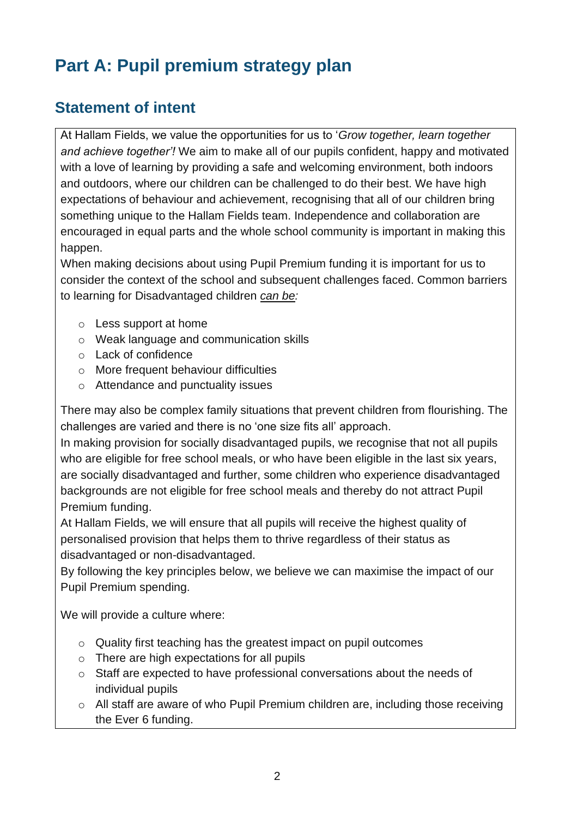# **Part A: Pupil premium strategy plan**

### **Statement of intent**

At Hallam Fields, we value the opportunities for us to '*Grow together, learn together and achieve together'!* We aim to make all of our pupils confident, happy and motivated with a love of learning by providing a safe and welcoming environment, both indoors and outdoors, where our children can be challenged to do their best. We have high expectations of behaviour and achievement, recognising that all of our children bring something unique to the Hallam Fields team. Independence and collaboration are encouraged in equal parts and the whole school community is important in making this happen.

When making decisions about using Pupil Premium funding it is important for us to consider the context of the school and subsequent challenges faced. Common barriers to learning for Disadvantaged children *can be:*

- o Less support at home
- o Weak language and communication skills
- o Lack of confidence
- o More frequent behaviour difficulties
- o Attendance and punctuality issues

There may also be complex family situations that prevent children from flourishing. The challenges are varied and there is no 'one size fits all' approach.

In making provision for socially disadvantaged pupils, we recognise that not all pupils who are eligible for free school meals, or who have been eligible in the last six years, are socially disadvantaged and further, some children who experience disadvantaged backgrounds are not eligible for free school meals and thereby do not attract Pupil Premium funding.

At Hallam Fields, we will ensure that all pupils will receive the highest quality of personalised provision that helps them to thrive regardless of their status as disadvantaged or non-disadvantaged.

By following the key principles below, we believe we can maximise the impact of our Pupil Premium spending.

We will provide a culture where:

- o Quality first teaching has the greatest impact on pupil outcomes
- o There are high expectations for all pupils
- o Staff are expected to have professional conversations about the needs of individual pupils
- o All staff are aware of who Pupil Premium children are, including those receiving the Ever 6 funding.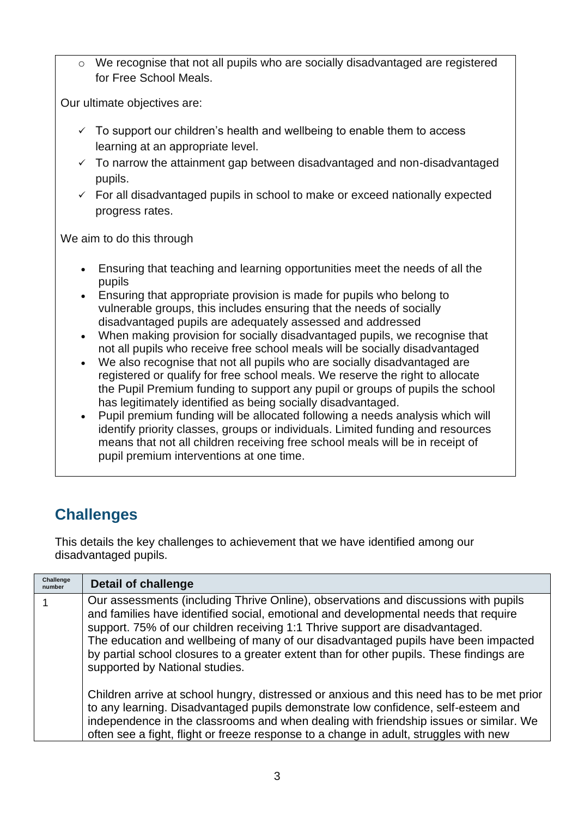o We recognise that not all pupils who are socially disadvantaged are registered for Free School Meals.

Our ultimate objectives are:

- $\checkmark$  To support our children's health and wellbeing to enable them to access learning at an appropriate level.
- $\checkmark$  To narrow the attainment gap between disadvantaged and non-disadvantaged pupils.
- $\checkmark$  For all disadvantaged pupils in school to make or exceed nationally expected progress rates.

We aim to do this through

- Ensuring that teaching and learning opportunities meet the needs of all the pupils
- Ensuring that appropriate provision is made for pupils who belong to vulnerable groups, this includes ensuring that the needs of socially disadvantaged pupils are adequately assessed and addressed
- When making provision for socially disadvantaged pupils, we recognise that not all pupils who receive free school meals will be socially disadvantaged
- We also recognise that not all pupils who are socially disadvantaged are registered or qualify for free school meals. We reserve the right to allocate the Pupil Premium funding to support any pupil or groups of pupils the school has legitimately identified as being socially disadvantaged.
- Pupil premium funding will be allocated following a needs analysis which will identify priority classes, groups or individuals. Limited funding and resources means that not all children receiving free school meals will be in receipt of pupil premium interventions at one time.

## **Challenges**

This details the key challenges to achievement that we have identified among our disadvantaged pupils.

| Challenge<br>number | <b>Detail of challenge</b>                                                                                                                                                                                                                                                                                                                                                                                                                                                     |
|---------------------|--------------------------------------------------------------------------------------------------------------------------------------------------------------------------------------------------------------------------------------------------------------------------------------------------------------------------------------------------------------------------------------------------------------------------------------------------------------------------------|
|                     | Our assessments (including Thrive Online), observations and discussions with pupils<br>and families have identified social, emotional and developmental needs that require<br>support. 75% of our children receiving 1:1 Thrive support are disadvantaged.<br>The education and wellbeing of many of our disadvantaged pupils have been impacted<br>by partial school closures to a greater extent than for other pupils. These findings are<br>supported by National studies. |
|                     | Children arrive at school hungry, distressed or anxious and this need has to be met prior<br>to any learning. Disadvantaged pupils demonstrate low confidence, self-esteem and<br>independence in the classrooms and when dealing with friendship issues or similar. We<br>often see a fight, flight or freeze response to a change in adult, struggles with new                                                                                                               |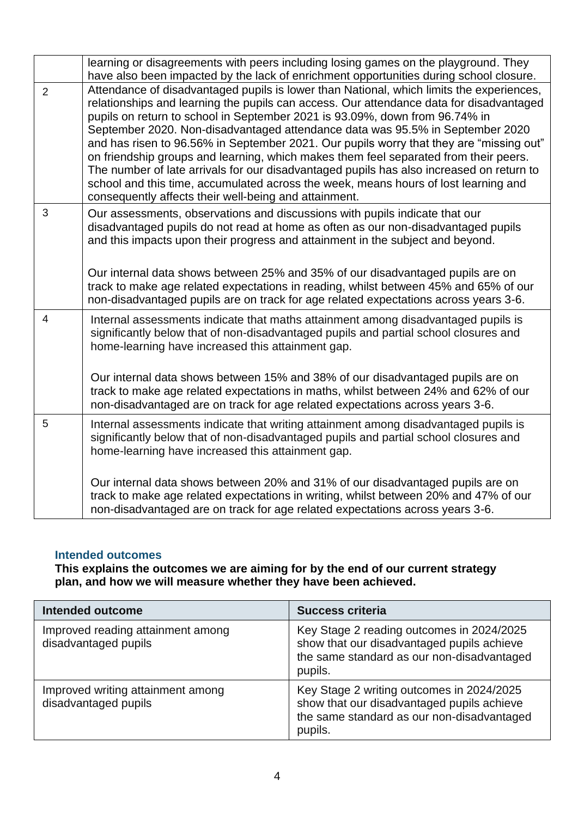|                | learning or disagreements with peers including losing games on the playground. They                                                                                                                                                                                                                                                                                                                                                                                                                                                                                                                                                                                                                                                                                                |
|----------------|------------------------------------------------------------------------------------------------------------------------------------------------------------------------------------------------------------------------------------------------------------------------------------------------------------------------------------------------------------------------------------------------------------------------------------------------------------------------------------------------------------------------------------------------------------------------------------------------------------------------------------------------------------------------------------------------------------------------------------------------------------------------------------|
|                | have also been impacted by the lack of enrichment opportunities during school closure.                                                                                                                                                                                                                                                                                                                                                                                                                                                                                                                                                                                                                                                                                             |
| $\overline{2}$ | Attendance of disadvantaged pupils is lower than National, which limits the experiences,<br>relationships and learning the pupils can access. Our attendance data for disadvantaged<br>pupils on return to school in September 2021 is 93.09%, down from 96.74% in<br>September 2020. Non-disadvantaged attendance data was 95.5% in September 2020<br>and has risen to 96.56% in September 2021. Our pupils worry that they are "missing out"<br>on friendship groups and learning, which makes them feel separated from their peers.<br>The number of late arrivals for our disadvantaged pupils has also increased on return to<br>school and this time, accumulated across the week, means hours of lost learning and<br>consequently affects their well-being and attainment. |
| 3              | Our assessments, observations and discussions with pupils indicate that our<br>disadvantaged pupils do not read at home as often as our non-disadvantaged pupils<br>and this impacts upon their progress and attainment in the subject and beyond.<br>Our internal data shows between 25% and 35% of our disadvantaged pupils are on<br>track to make age related expectations in reading, whilst between 45% and 65% of our<br>non-disadvantaged pupils are on track for age related expectations across years 3-6.                                                                                                                                                                                                                                                               |
| $\overline{4}$ | Internal assessments indicate that maths attainment among disadvantaged pupils is<br>significantly below that of non-disadvantaged pupils and partial school closures and<br>home-learning have increased this attainment gap.<br>Our internal data shows between 15% and 38% of our disadvantaged pupils are on<br>track to make age related expectations in maths, whilst between 24% and 62% of our<br>non-disadvantaged are on track for age related expectations across years 3-6.                                                                                                                                                                                                                                                                                            |
| 5              | Internal assessments indicate that writing attainment among disadvantaged pupils is<br>significantly below that of non-disadvantaged pupils and partial school closures and<br>home-learning have increased this attainment gap.<br>Our internal data shows between 20% and 31% of our disadvantaged pupils are on<br>track to make age related expectations in writing, whilst between 20% and 47% of our<br>non-disadvantaged are on track for age related expectations across years 3-6.                                                                                                                                                                                                                                                                                        |

#### **Intended outcomes**

**This explains the outcomes we are aiming for by the end of our current strategy plan, and how we will measure whether they have been achieved.**

| <b>Intended outcome</b>                                   | <b>Success criteria</b>                                                                                                                          |
|-----------------------------------------------------------|--------------------------------------------------------------------------------------------------------------------------------------------------|
| Improved reading attainment among<br>disadvantaged pupils | Key Stage 2 reading outcomes in 2024/2025<br>show that our disadvantaged pupils achieve<br>the same standard as our non-disadvantaged<br>pupils. |
| Improved writing attainment among<br>disadvantaged pupils | Key Stage 2 writing outcomes in 2024/2025<br>show that our disadvantaged pupils achieve<br>the same standard as our non-disadvantaged<br>pupils. |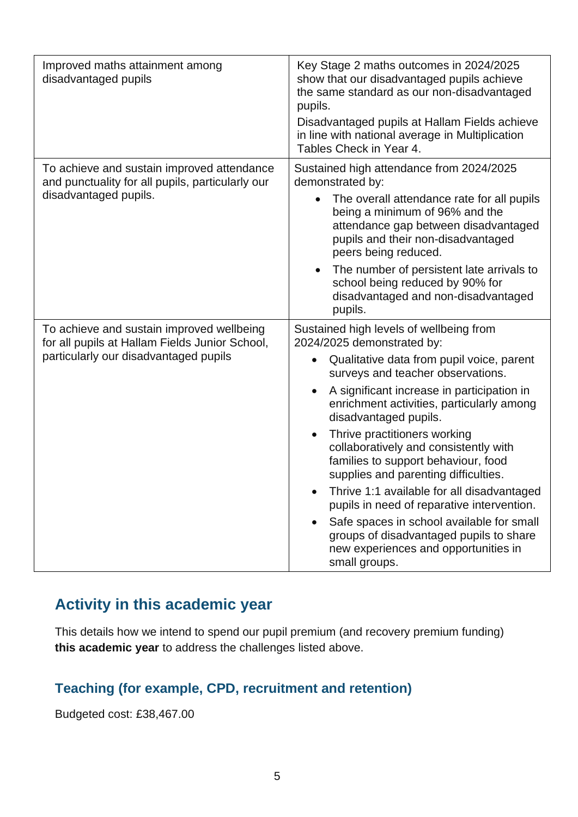| Improved maths attainment among<br>disadvantaged pupils                                                                              | Key Stage 2 maths outcomes in 2024/2025<br>show that our disadvantaged pupils achieve<br>the same standard as our non-disadvantaged<br>pupils.<br>Disadvantaged pupils at Hallam Fields achieve<br>in line with national average in Multiplication<br>Tables Check in Year 4.                                                                                                                                                                                                                                                                                                                                                                                                                                           |
|--------------------------------------------------------------------------------------------------------------------------------------|-------------------------------------------------------------------------------------------------------------------------------------------------------------------------------------------------------------------------------------------------------------------------------------------------------------------------------------------------------------------------------------------------------------------------------------------------------------------------------------------------------------------------------------------------------------------------------------------------------------------------------------------------------------------------------------------------------------------------|
| To achieve and sustain improved attendance<br>and punctuality for all pupils, particularly our<br>disadvantaged pupils.              | Sustained high attendance from 2024/2025<br>demonstrated by:<br>The overall attendance rate for all pupils<br>being a minimum of 96% and the<br>attendance gap between disadvantaged<br>pupils and their non-disadvantaged<br>peers being reduced.<br>The number of persistent late arrivals to<br>school being reduced by 90% for<br>disadvantaged and non-disadvantaged<br>pupils.                                                                                                                                                                                                                                                                                                                                    |
| To achieve and sustain improved wellbeing<br>for all pupils at Hallam Fields Junior School,<br>particularly our disadvantaged pupils | Sustained high levels of wellbeing from<br>2024/2025 demonstrated by:<br>Qualitative data from pupil voice, parent<br>$\bullet$<br>surveys and teacher observations.<br>A significant increase in participation in<br>$\bullet$<br>enrichment activities, particularly among<br>disadvantaged pupils.<br>Thrive practitioners working<br>$\bullet$<br>collaboratively and consistently with<br>families to support behaviour, food<br>supplies and parenting difficulties.<br>Thrive 1:1 available for all disadvantaged<br>pupils in need of reparative intervention.<br>Safe spaces in school available for small<br>groups of disadvantaged pupils to share<br>new experiences and opportunities in<br>small groups. |

### **Activity in this academic year**

This details how we intend to spend our pupil premium (and recovery premium funding) **this academic year** to address the challenges listed above.

#### **Teaching (for example, CPD, recruitment and retention)**

Budgeted cost: £38,467.00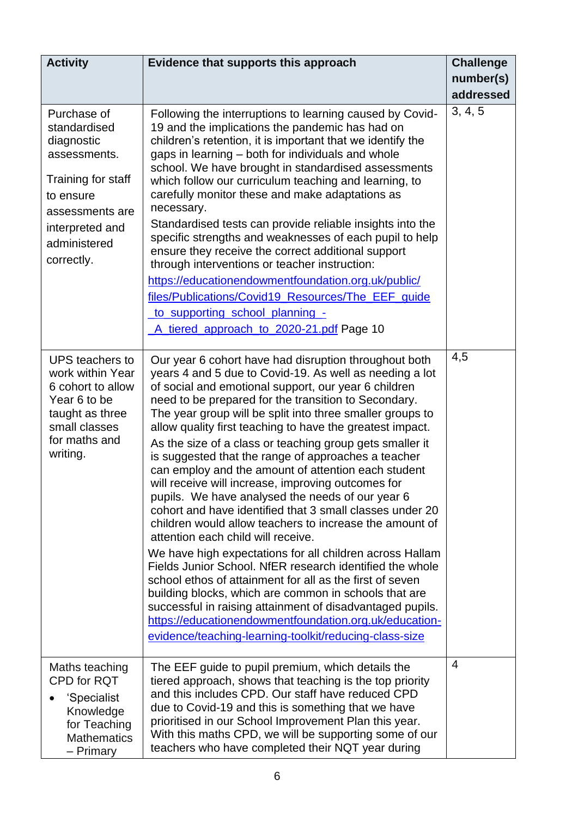| <b>Activity</b>                                                                                                                                                  | Evidence that supports this approach                                                                                                                                                                                                                                                                                                                                                                                                                                                                                                                                                                                                                                                                                                                                                                                                                                                                                                                                                                                                                                                                                                                                                                                                      | <b>Challenge</b> |
|------------------------------------------------------------------------------------------------------------------------------------------------------------------|-------------------------------------------------------------------------------------------------------------------------------------------------------------------------------------------------------------------------------------------------------------------------------------------------------------------------------------------------------------------------------------------------------------------------------------------------------------------------------------------------------------------------------------------------------------------------------------------------------------------------------------------------------------------------------------------------------------------------------------------------------------------------------------------------------------------------------------------------------------------------------------------------------------------------------------------------------------------------------------------------------------------------------------------------------------------------------------------------------------------------------------------------------------------------------------------------------------------------------------------|------------------|
|                                                                                                                                                                  |                                                                                                                                                                                                                                                                                                                                                                                                                                                                                                                                                                                                                                                                                                                                                                                                                                                                                                                                                                                                                                                                                                                                                                                                                                           | number(s)        |
|                                                                                                                                                                  |                                                                                                                                                                                                                                                                                                                                                                                                                                                                                                                                                                                                                                                                                                                                                                                                                                                                                                                                                                                                                                                                                                                                                                                                                                           | addressed        |
| Purchase of<br>standardised<br>diagnostic<br>assessments.<br>Training for staff<br>to ensure<br>assessments are<br>interpreted and<br>administered<br>correctly. | Following the interruptions to learning caused by Covid-<br>19 and the implications the pandemic has had on<br>children's retention, it is important that we identify the<br>gaps in learning - both for individuals and whole<br>school. We have brought in standardised assessments<br>which follow our curriculum teaching and learning, to<br>carefully monitor these and make adaptations as<br>necessary.<br>Standardised tests can provide reliable insights into the<br>specific strengths and weaknesses of each pupil to help<br>ensure they receive the correct additional support<br>through interventions or teacher instruction:<br>https://educationendowmentfoundation.org.uk/public/<br>files/Publications/Covid19_Resources/The_EEF_quide<br>to supporting school planning -<br>A tiered approach to 2020-21.pdf Page 10                                                                                                                                                                                                                                                                                                                                                                                                | 3, 4, 5          |
| UPS teachers to<br>work within Year<br>6 cohort to allow<br>Year 6 to be<br>taught as three<br>small classes<br>for maths and<br>writing.                        | Our year 6 cohort have had disruption throughout both<br>years 4 and 5 due to Covid-19. As well as needing a lot<br>of social and emotional support, our year 6 children<br>need to be prepared for the transition to Secondary.<br>The year group will be split into three smaller groups to<br>allow quality first teaching to have the greatest impact.<br>As the size of a class or teaching group gets smaller it<br>is suggested that the range of approaches a teacher<br>can employ and the amount of attention each student<br>will receive will increase, improving outcomes for<br>pupils. We have analysed the needs of our year 6<br>cohort and have identified that 3 small classes under 20<br>children would allow teachers to increase the amount of<br>attention each child will receive.<br>We have high expectations for all children across Hallam<br>Fields Junior School. NfER research identified the whole<br>school ethos of attainment for all as the first of seven<br>building blocks, which are common in schools that are<br>successful in raising attainment of disadvantaged pupils.<br>https://educationendowmentfoundation.org.uk/education-<br>evidence/teaching-learning-toolkit/reducing-class-size | 4,5              |
| Maths teaching<br>CPD for RQT<br>'Specialist<br>Knowledge<br>for Teaching<br><b>Mathematics</b><br>- Primary                                                     | The EEF guide to pupil premium, which details the<br>tiered approach, shows that teaching is the top priority<br>and this includes CPD. Our staff have reduced CPD<br>due to Covid-19 and this is something that we have<br>prioritised in our School Improvement Plan this year.<br>With this maths CPD, we will be supporting some of our<br>teachers who have completed their NQT year during                                                                                                                                                                                                                                                                                                                                                                                                                                                                                                                                                                                                                                                                                                                                                                                                                                          | $\overline{4}$   |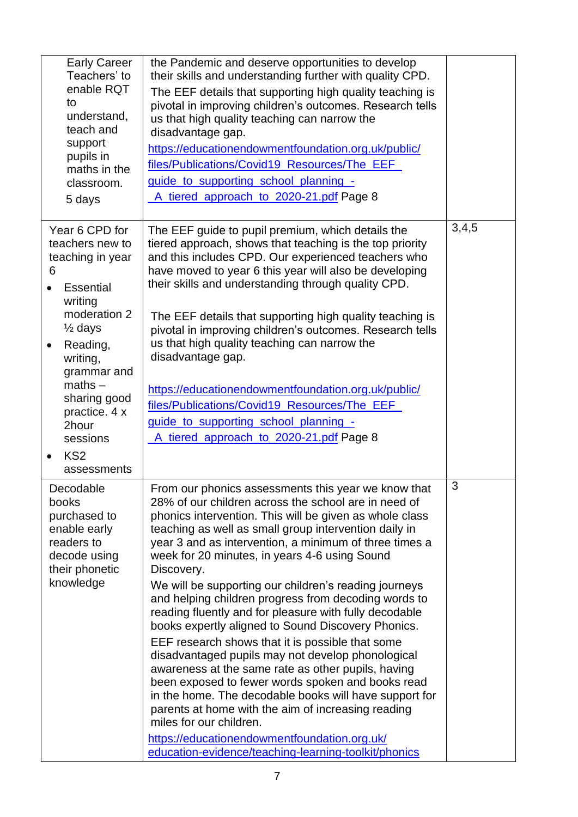| <b>Early Career</b><br>Teachers' to<br>enable RQT<br>to<br>understand,<br>teach and<br>support<br>pupils in<br>maths in the<br>classroom.<br>5 days                                                                                                                               | the Pandemic and deserve opportunities to develop<br>their skills and understanding further with quality CPD.<br>The EEF details that supporting high quality teaching is<br>pivotal in improving children's outcomes. Research tells<br>us that high quality teaching can narrow the<br>disadvantage gap.<br>https://educationendowmentfoundation.org.uk/public/<br>files/Publications/Covid19_Resources/The_EEF_<br>guide to supporting school planning -<br>A tiered approach to 2020-21.pdf Page 8                                                                                                                                                                                                                                                                                                                                                                                                                                                                                                                                                           |       |
|-----------------------------------------------------------------------------------------------------------------------------------------------------------------------------------------------------------------------------------------------------------------------------------|------------------------------------------------------------------------------------------------------------------------------------------------------------------------------------------------------------------------------------------------------------------------------------------------------------------------------------------------------------------------------------------------------------------------------------------------------------------------------------------------------------------------------------------------------------------------------------------------------------------------------------------------------------------------------------------------------------------------------------------------------------------------------------------------------------------------------------------------------------------------------------------------------------------------------------------------------------------------------------------------------------------------------------------------------------------|-------|
| Year 6 CPD for<br>teachers new to<br>teaching in year<br>6<br>Essential<br>writing<br>moderation 2<br>$\frac{1}{2}$ days<br>Reading,<br>$\bullet$<br>writing,<br>grammar and<br>$maths -$<br>sharing good<br>practice. 4 x<br>2hour<br>sessions<br>KS <sub>2</sub><br>assessments | The EEF guide to pupil premium, which details the<br>tiered approach, shows that teaching is the top priority<br>and this includes CPD. Our experienced teachers who<br>have moved to year 6 this year will also be developing<br>their skills and understanding through quality CPD.<br>The EEF details that supporting high quality teaching is<br>pivotal in improving children's outcomes. Research tells<br>us that high quality teaching can narrow the<br>disadvantage gap.<br>https://educationendowmentfoundation.org.uk/public/<br>files/Publications/Covid19_Resources/The_EEF_<br>guide to supporting school planning -<br>A tiered approach to 2020-21.pdf Page 8                                                                                                                                                                                                                                                                                                                                                                                   | 3,4,5 |
| Decodable<br>books<br>purchased to<br>enable early<br>readers to<br>decode using<br>their phonetic<br>knowledge                                                                                                                                                                   | From our phonics assessments this year we know that<br>28% of our children across the school are in need of<br>phonics intervention. This will be given as whole class<br>teaching as well as small group intervention daily in<br>year 3 and as intervention, a minimum of three times a<br>week for 20 minutes, in years 4-6 using Sound<br>Discovery.<br>We will be supporting our children's reading journeys<br>and helping children progress from decoding words to<br>reading fluently and for pleasure with fully decodable<br>books expertly aligned to Sound Discovery Phonics.<br>EEF research shows that it is possible that some<br>disadvantaged pupils may not develop phonological<br>awareness at the same rate as other pupils, having<br>been exposed to fewer words spoken and books read<br>in the home. The decodable books will have support for<br>parents at home with the aim of increasing reading<br>miles for our children.<br>https://educationendowmentfoundation.org.uk/<br>education-evidence/teaching-learning-toolkit/phonics | 3     |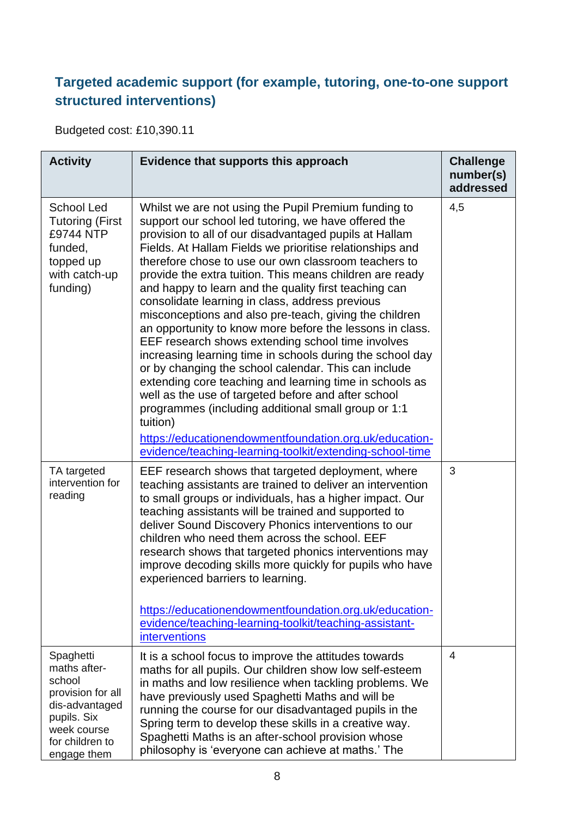#### **Targeted academic support (for example, tutoring, one-to-one support structured interventions)**

Budgeted cost: £10,390.11

| <b>Activity</b>                                                                                                                            | Evidence that supports this approach                                                                                                                                                                                                                                                                                                                                                                                                                                                                                                                                                                                                                                                                                                                                                                                                                                                                                                                                                                                                                                          | <b>Challenge</b><br>number(s)<br>addressed |
|--------------------------------------------------------------------------------------------------------------------------------------------|-------------------------------------------------------------------------------------------------------------------------------------------------------------------------------------------------------------------------------------------------------------------------------------------------------------------------------------------------------------------------------------------------------------------------------------------------------------------------------------------------------------------------------------------------------------------------------------------------------------------------------------------------------------------------------------------------------------------------------------------------------------------------------------------------------------------------------------------------------------------------------------------------------------------------------------------------------------------------------------------------------------------------------------------------------------------------------|--------------------------------------------|
| <b>School Led</b><br><b>Tutoring (First</b><br>£9744 NTP<br>funded,<br>topped up<br>with catch-up<br>funding)                              | Whilst we are not using the Pupil Premium funding to<br>support our school led tutoring, we have offered the<br>provision to all of our disadvantaged pupils at Hallam<br>Fields. At Hallam Fields we prioritise relationships and<br>therefore chose to use our own classroom teachers to<br>provide the extra tuition. This means children are ready<br>and happy to learn and the quality first teaching can<br>consolidate learning in class, address previous<br>misconceptions and also pre-teach, giving the children<br>an opportunity to know more before the lessons in class.<br>EEF research shows extending school time involves<br>increasing learning time in schools during the school day<br>or by changing the school calendar. This can include<br>extending core teaching and learning time in schools as<br>well as the use of targeted before and after school<br>programmes (including additional small group or 1:1<br>tuition)<br>https://educationendowmentfoundation.org.uk/education-<br>evidence/teaching-learning-toolkit/extending-school-time | 4,5                                        |
| TA targeted<br>intervention for<br>reading                                                                                                 | EEF research shows that targeted deployment, where<br>teaching assistants are trained to deliver an intervention<br>to small groups or individuals, has a higher impact. Our<br>teaching assistants will be trained and supported to<br>deliver Sound Discovery Phonics interventions to our<br>children who need them across the school. EEF<br>research shows that targeted phonics interventions may<br>improve decoding skills more quickly for pupils who have<br>experienced barriers to learning.<br>https://educationendowmentfoundation.org.uk/education-<br>evidence/teaching-learning-toolkit/teaching-assistant-<br>interventions                                                                                                                                                                                                                                                                                                                                                                                                                                 | 3                                          |
| Spaghetti<br>maths after-<br>school<br>provision for all<br>dis-advantaged<br>pupils. Six<br>week course<br>for children to<br>engage them | It is a school focus to improve the attitudes towards<br>maths for all pupils. Our children show low self-esteem<br>in maths and low resilience when tackling problems. We<br>have previously used Spaghetti Maths and will be<br>running the course for our disadvantaged pupils in the<br>Spring term to develop these skills in a creative way.<br>Spaghetti Maths is an after-school provision whose<br>philosophy is 'everyone can achieve at maths.' The                                                                                                                                                                                                                                                                                                                                                                                                                                                                                                                                                                                                                | $\overline{4}$                             |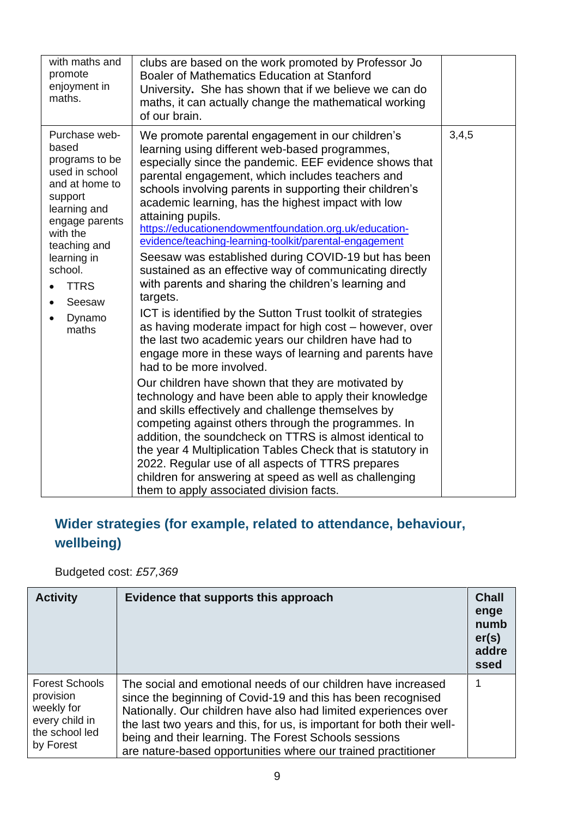| with maths and<br>promote<br>enjoyment in<br>maths.                                                                                                                                                                                                   | clubs are based on the work promoted by Professor Jo<br>Boaler of Mathematics Education at Stanford<br>University. She has shown that if we believe we can do<br>maths, it can actually change the mathematical working<br>of our brain.                                                                                                                                                                                                                                                                                                                                                                                                                                                                                                                                                                                                                                                                                                                                                                                                                                                                                                                                                                                                                                                                                                                                                                                                                    |       |
|-------------------------------------------------------------------------------------------------------------------------------------------------------------------------------------------------------------------------------------------------------|-------------------------------------------------------------------------------------------------------------------------------------------------------------------------------------------------------------------------------------------------------------------------------------------------------------------------------------------------------------------------------------------------------------------------------------------------------------------------------------------------------------------------------------------------------------------------------------------------------------------------------------------------------------------------------------------------------------------------------------------------------------------------------------------------------------------------------------------------------------------------------------------------------------------------------------------------------------------------------------------------------------------------------------------------------------------------------------------------------------------------------------------------------------------------------------------------------------------------------------------------------------------------------------------------------------------------------------------------------------------------------------------------------------------------------------------------------------|-------|
| Purchase web-<br>based<br>programs to be<br>used in school<br>and at home to<br>support<br>learning and<br>engage parents<br>with the<br>teaching and<br>learning in<br>school.<br><b>TTRS</b><br>Seesaw<br>$\bullet$<br>Dynamo<br>$\bullet$<br>maths | We promote parental engagement in our children's<br>learning using different web-based programmes,<br>especially since the pandemic. EEF evidence shows that<br>parental engagement, which includes teachers and<br>schools involving parents in supporting their children's<br>academic learning, has the highest impact with low<br>attaining pupils.<br>https://educationendowmentfoundation.org.uk/education-<br>evidence/teaching-learning-toolkit/parental-engagement<br>Seesaw was established during COVID-19 but has been<br>sustained as an effective way of communicating directly<br>with parents and sharing the children's learning and<br>targets.<br>ICT is identified by the Sutton Trust toolkit of strategies<br>as having moderate impact for high cost - however, over<br>the last two academic years our children have had to<br>engage more in these ways of learning and parents have<br>had to be more involved.<br>Our children have shown that they are motivated by<br>technology and have been able to apply their knowledge<br>and skills effectively and challenge themselves by<br>competing against others through the programmes. In<br>addition, the soundcheck on TTRS is almost identical to<br>the year 4 Multiplication Tables Check that is statutory in<br>2022. Regular use of all aspects of TTRS prepares<br>children for answering at speed as well as challenging<br>them to apply associated division facts. | 3,4,5 |

### **Wider strategies (for example, related to attendance, behaviour, wellbeing)**

Budgeted cost: *£57,369*

| <b>Activity</b>                                                                                   | Evidence that supports this approach                                                                                                                                                                                                                                                                                                                                                                 | <b>Chall</b><br>enge<br>numb<br>er(s)<br>addre<br>ssed |
|---------------------------------------------------------------------------------------------------|------------------------------------------------------------------------------------------------------------------------------------------------------------------------------------------------------------------------------------------------------------------------------------------------------------------------------------------------------------------------------------------------------|--------------------------------------------------------|
| <b>Forest Schools</b><br>provision<br>weekly for<br>every child in<br>the school led<br>by Forest | The social and emotional needs of our children have increased<br>since the beginning of Covid-19 and this has been recognised<br>Nationally. Our children have also had limited experiences over<br>the last two years and this, for us, is important for both their well-<br>being and their learning. The Forest Schools sessions<br>are nature-based opportunities where our trained practitioner |                                                        |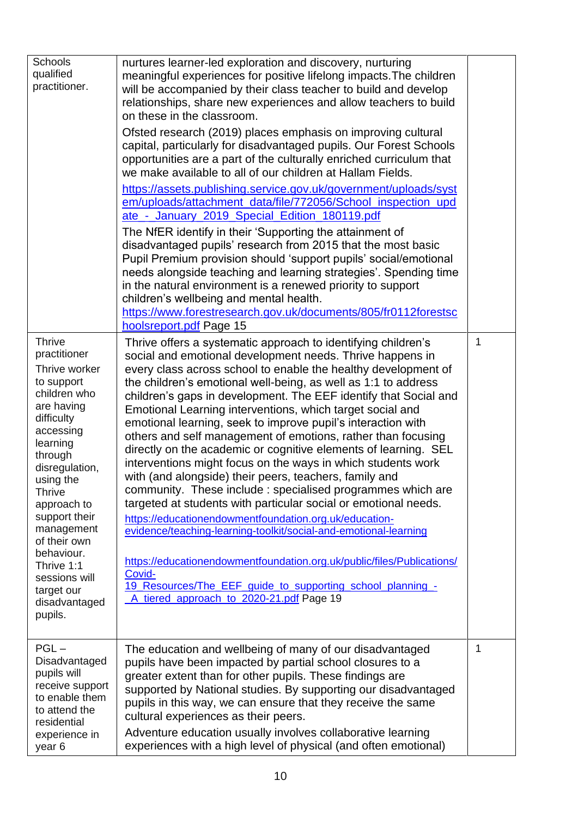| Schools<br>qualified<br>practitioner.<br><b>Thrive</b><br>practitioner<br>Thrive worker<br>to support<br>children who<br>are having<br>difficulty<br>accessing<br>learning<br>through<br>disregulation,<br>using the<br>Thrive<br>approach to<br>support their<br>management<br>of their own<br>behaviour.<br>Thrive 1:1<br>sessions will<br>target our<br>disadvantaged<br>pupils. | nurtures learner-led exploration and discovery, nurturing<br>meaningful experiences for positive lifelong impacts. The children<br>will be accompanied by their class teacher to build and develop<br>relationships, share new experiences and allow teachers to build<br>on these in the classroom.<br>Ofsted research (2019) places emphasis on improving cultural<br>capital, particularly for disadvantaged pupils. Our Forest Schools<br>opportunities are a part of the culturally enriched curriculum that<br>we make available to all of our children at Hallam Fields.<br>https://assets.publishing.service.gov.uk/government/uploads/syst<br>em/uploads/attachment_data/file/772056/School_inspection_upd<br>ate - January 2019 Special Edition 180119.pdf<br>The NfER identify in their 'Supporting the attainment of<br>disadvantaged pupils' research from 2015 that the most basic<br>Pupil Premium provision should 'support pupils' social/emotional<br>needs alongside teaching and learning strategies'. Spending time<br>in the natural environment is a renewed priority to support<br>children's wellbeing and mental health.<br>https://www.forestresearch.gov.uk/documents/805/fr0112forestsc<br>hoolsreport.pdf Page 15<br>Thrive offers a systematic approach to identifying children's<br>social and emotional development needs. Thrive happens in<br>every class across school to enable the healthy development of<br>the children's emotional well-being, as well as 1:1 to address<br>children's gaps in development. The EEF identify that Social and<br>Emotional Learning interventions, which target social and<br>emotional learning, seek to improve pupil's interaction with<br>others and self management of emotions, rather than focusing<br>directly on the academic or cognitive elements of learning. SEL<br>interventions might focus on the ways in which students work<br>with (and alongside) their peers, teachers, family and<br>community. These include : specialised programmes which are<br>targeted at students with particular social or emotional needs.<br>https://educationendowmentfoundation.org.uk/education-<br>evidence/teaching-learning-toolkit/social-and-emotional-learning<br>https://educationendowmentfoundation.org.uk/public/files/Publications/<br>Covid-<br>19 Resources/The EEF guide to supporting school planning -<br>A_tiered_approach_to_2020-21.pdf Page 19 | 1 |
|-------------------------------------------------------------------------------------------------------------------------------------------------------------------------------------------------------------------------------------------------------------------------------------------------------------------------------------------------------------------------------------|-----------------------------------------------------------------------------------------------------------------------------------------------------------------------------------------------------------------------------------------------------------------------------------------------------------------------------------------------------------------------------------------------------------------------------------------------------------------------------------------------------------------------------------------------------------------------------------------------------------------------------------------------------------------------------------------------------------------------------------------------------------------------------------------------------------------------------------------------------------------------------------------------------------------------------------------------------------------------------------------------------------------------------------------------------------------------------------------------------------------------------------------------------------------------------------------------------------------------------------------------------------------------------------------------------------------------------------------------------------------------------------------------------------------------------------------------------------------------------------------------------------------------------------------------------------------------------------------------------------------------------------------------------------------------------------------------------------------------------------------------------------------------------------------------------------------------------------------------------------------------------------------------------------------------------------------------------------------------------------------------------------------------------------------------------------------------------------------------------------------------------------------------------------------------------------------------------------------------------------------------------------------------------------------------------------------------------------------------------------------------------------------------------------------------------------------------|---|
| $PGL -$<br>Disadvantaged<br>pupils will<br>receive support<br>to enable them<br>to attend the<br>residential<br>experience in<br>year 6                                                                                                                                                                                                                                             | The education and wellbeing of many of our disadvantaged<br>pupils have been impacted by partial school closures to a<br>greater extent than for other pupils. These findings are<br>supported by National studies. By supporting our disadvantaged<br>pupils in this way, we can ensure that they receive the same<br>cultural experiences as their peers.<br>Adventure education usually involves collaborative learning<br>experiences with a high level of physical (and often emotional)                                                                                                                                                                                                                                                                                                                                                                                                                                                                                                                                                                                                                                                                                                                                                                                                                                                                                                                                                                                                                                                                                                                                                                                                                                                                                                                                                                                                                                                                                                                                                                                                                                                                                                                                                                                                                                                                                                                                                 | 1 |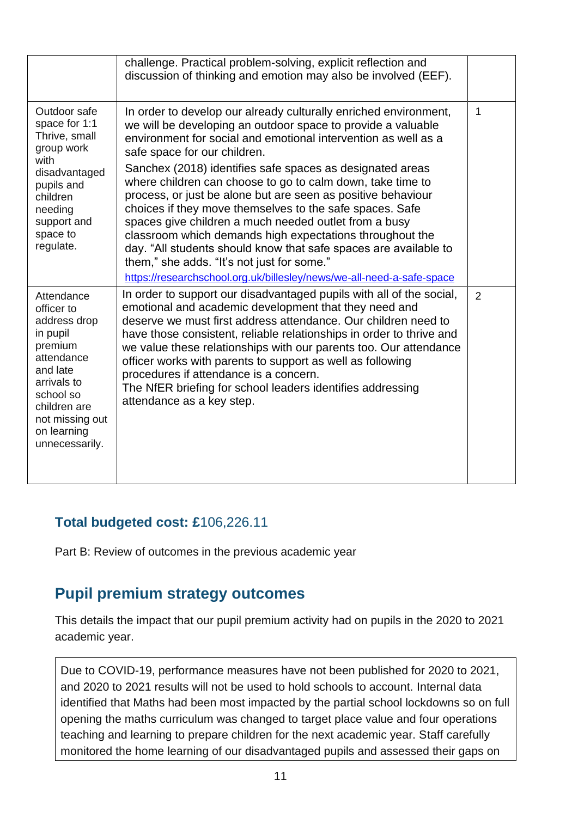|                                                                                                                                                                                           | challenge. Practical problem-solving, explicit reflection and<br>discussion of thinking and emotion may also be involved (EEF).                                                                                                                                                                                                                                                                                                                                                                                                                                                                                                                                                                                                                                                                           |                |
|-------------------------------------------------------------------------------------------------------------------------------------------------------------------------------------------|-----------------------------------------------------------------------------------------------------------------------------------------------------------------------------------------------------------------------------------------------------------------------------------------------------------------------------------------------------------------------------------------------------------------------------------------------------------------------------------------------------------------------------------------------------------------------------------------------------------------------------------------------------------------------------------------------------------------------------------------------------------------------------------------------------------|----------------|
| Outdoor safe<br>space for 1:1<br>Thrive, small<br>group work<br>with<br>disadvantaged<br>pupils and<br>children<br>needing<br>support and<br>space to<br>regulate.                        | In order to develop our already culturally enriched environment,<br>we will be developing an outdoor space to provide a valuable<br>environment for social and emotional intervention as well as a<br>safe space for our children.<br>Sanchex (2018) identifies safe spaces as designated areas<br>where children can choose to go to calm down, take time to<br>process, or just be alone but are seen as positive behaviour<br>choices if they move themselves to the safe spaces. Safe<br>spaces give children a much needed outlet from a busy<br>classroom which demands high expectations throughout the<br>day. "All students should know that safe spaces are available to<br>them," she adds. "It's not just for some."<br>https://researchschool.org.uk/billesley/news/we-all-need-a-safe-space | 1              |
| Attendance<br>officer to<br>address drop<br>in pupil<br>premium<br>attendance<br>and late<br>arrivals to<br>school so<br>children are<br>not missing out<br>on learning<br>unnecessarily. | In order to support our disadvantaged pupils with all of the social,<br>emotional and academic development that they need and<br>deserve we must first address attendance. Our children need to<br>have those consistent, reliable relationships in order to thrive and<br>we value these relationships with our parents too. Our attendance<br>officer works with parents to support as well as following<br>procedures if attendance is a concern.<br>The NfER briefing for school leaders identifies addressing<br>attendance as a key step.                                                                                                                                                                                                                                                           | $\overline{2}$ |

#### **Total budgeted cost: £**106,226.11

Part B: Review of outcomes in the previous academic year

#### **Pupil premium strategy outcomes**

This details the impact that our pupil premium activity had on pupils in the 2020 to 2021 academic year.

Due to COVID-19, performance measures have not been published for 2020 to 2021, and 2020 to 2021 results will not be used to hold schools to account. Internal data identified that Maths had been most impacted by the partial school lockdowns so on full opening the maths curriculum was changed to target place value and four operations teaching and learning to prepare children for the next academic year. Staff carefully monitored the home learning of our disadvantaged pupils and assessed their gaps on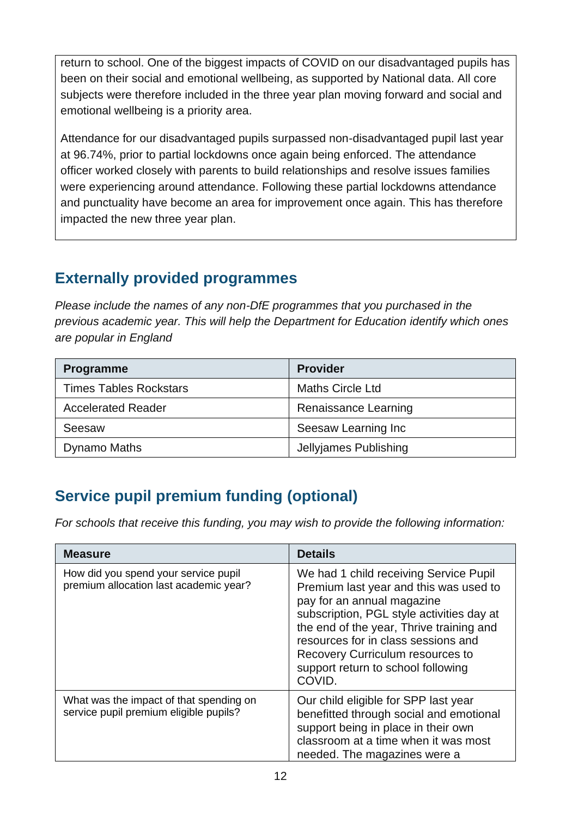return to school. One of the biggest impacts of COVID on our disadvantaged pupils has been on their social and emotional wellbeing, as supported by National data. All core subjects were therefore included in the three year plan moving forward and social and emotional wellbeing is a priority area.

Attendance for our disadvantaged pupils surpassed non-disadvantaged pupil last year at 96.74%, prior to partial lockdowns once again being enforced. The attendance officer worked closely with parents to build relationships and resolve issues families were experiencing around attendance. Following these partial lockdowns attendance and punctuality have become an area for improvement once again. This has therefore impacted the new three year plan.

### **Externally provided programmes**

*Please include the names of any non-DfE programmes that you purchased in the previous academic year. This will help the Department for Education identify which ones are popular in England*

| <b>Programme</b>              | <b>Provider</b>         |
|-------------------------------|-------------------------|
| <b>Times Tables Rockstars</b> | <b>Maths Circle Ltd</b> |
| <b>Accelerated Reader</b>     | Renaissance Learning    |
| Seesaw                        | Seesaw Learning Inc     |
| Dynamo Maths                  | Jellyjames Publishing   |

### **Service pupil premium funding (optional)**

*For schools that receive this funding, you may wish to provide the following information:* 

| <b>Measure</b>                                                                    | <b>Details</b>                                                                                                                                                                                                                                                                                                                     |
|-----------------------------------------------------------------------------------|------------------------------------------------------------------------------------------------------------------------------------------------------------------------------------------------------------------------------------------------------------------------------------------------------------------------------------|
| How did you spend your service pupil<br>premium allocation last academic year?    | We had 1 child receiving Service Pupil<br>Premium last year and this was used to<br>pay for an annual magazine<br>subscription, PGL style activities day at<br>the end of the year, Thrive training and<br>resources for in class sessions and<br>Recovery Curriculum resources to<br>support return to school following<br>COVID. |
| What was the impact of that spending on<br>service pupil premium eligible pupils? | Our child eligible for SPP last year<br>benefitted through social and emotional<br>support being in place in their own<br>classroom at a time when it was most<br>needed. The magazines were a                                                                                                                                     |